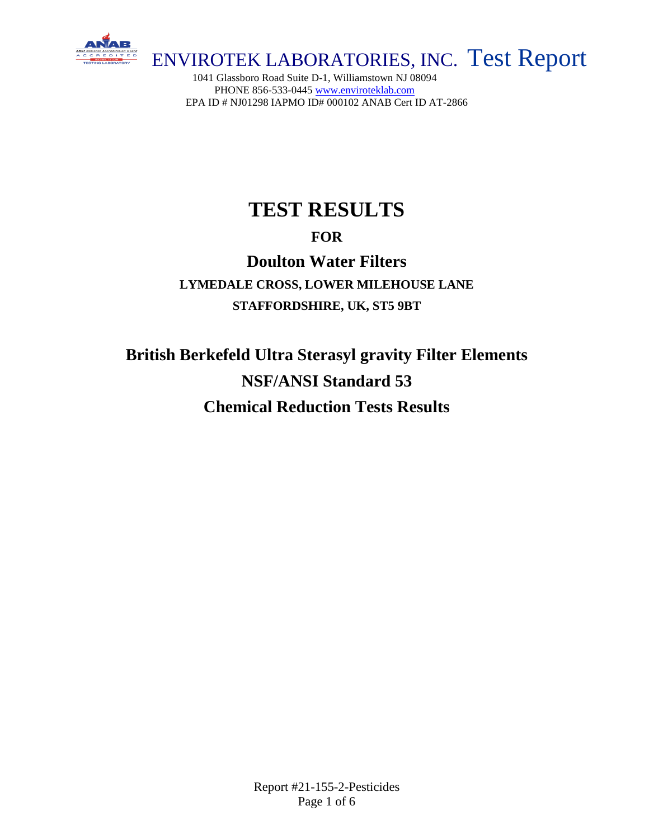

1041 Glassboro Road Suite D-1, Williamstown NJ 08094 PHONE 856-533-0445 [www.enviroteklab.com](http://www.enviroteklab.com/) EPA ID # NJ01298 IAPMO ID# 000102 ANAB Cert ID AT-2866

# **TEST RESULTS**

## **FOR**

# **Doulton Water Filters**

**LYMEDALE CROSS, LOWER MILEHOUSE LANE STAFFORDSHIRE, UK, ST5 9BT**

**British Berkefeld Ultra Sterasyl gravity Filter Elements NSF/ANSI Standard 53 Chemical Reduction Tests Results**

> Report #21-155-2-Pesticides Page 1 of 6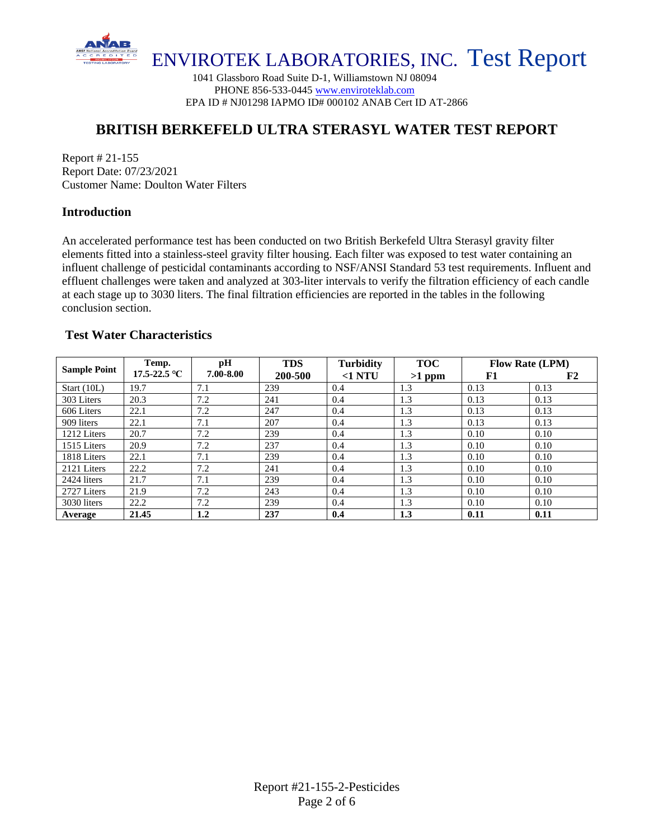

1041 Glassboro Road Suite D-1, Williamstown NJ 08094 PHONE 856-533-0445 [www.enviroteklab.com](http://www.enviroteklab.com/) EPA ID # NJ01298 IAPMO ID# 000102 ANAB Cert ID AT-2866

### **BRITISH BERKEFELD ULTRA STERASYL WATER TEST REPORT**

Report # 21-155 Report Date: 07/23/2021 Customer Name: Doulton Water Filters

#### **Introduction**

An accelerated performance test has been conducted on two British Berkefeld Ultra Sterasyl gravity filter elements fitted into a stainless-steel gravity filter housing. Each filter was exposed to test water containing an influent challenge of pesticidal contaminants according to NSF/ANSI Standard 53 test requirements. Influent and effluent challenges were taken and analyzed at 303-liter intervals to verify the filtration efficiency of each candle at each stage up to 3030 liters. The final filtration efficiencies are reported in the tables in the following conclusion section.

#### **Test Water Characteristics**

| <b>Sample Point</b> | Temp.        | pН        | <b>TDS</b> | <b>Turbidity</b> | <b>TOC</b> | <b>Flow Rate (LPM)</b> |      |  |
|---------------------|--------------|-----------|------------|------------------|------------|------------------------|------|--|
|                     | 17.5-22.5 °C | 7.00-8.00 | 200-500    | $<$ 1 NTU        | $>1$ ppm   | F1                     | F2   |  |
| Start (10L)         | 19.7         | 7.1       | 239        | 0.4              | 1.3        | 0.13                   | 0.13 |  |
| 303 Liters          | 20.3         | 7.2       | 241        | 0.4              | 1.3        | 0.13                   | 0.13 |  |
| 606 Liters          | 22.1         | 7.2       | 247        | 0.4              | 1.3        | 0.13                   | 0.13 |  |
| 909 liters          | 22.1         | 7.1       | 207        | 0.4              | 1.3        | 0.13                   | 0.13 |  |
| 1212 Liters         | 20.7         | 7.2       | 239        | 0.4              | 1.3        | 0.10                   | 0.10 |  |
| 1515 Liters         | 20.9         | 7.2       | 237        | 0.4              | 1.3        | 0.10                   | 0.10 |  |
| 1818 Liters         | 22.1         | 7.1       | 239        | 0.4              | 1.3        | 0.10                   | 0.10 |  |
| 2121 Liters         | 22.2         | 7.2       | 241        | 0.4              | 1.3        | 0.10                   | 0.10 |  |
| 2424 liters         | 21.7         | 7.1       | 239        | 0.4              | 1.3        | 0.10                   | 0.10 |  |
| 2727 Liters         | 21.9         | 7.2       | 243        | 0.4              | 1.3        | 0.10                   | 0.10 |  |
| 3030 liters         | 22.2         | 7.2       | 239        | 0.4              | 1.3        | 0.10                   | 0.10 |  |
| Average             | 21.45        | $1.2\,$   | 237        | 0.4              | 1.3        | 0.11                   | 0.11 |  |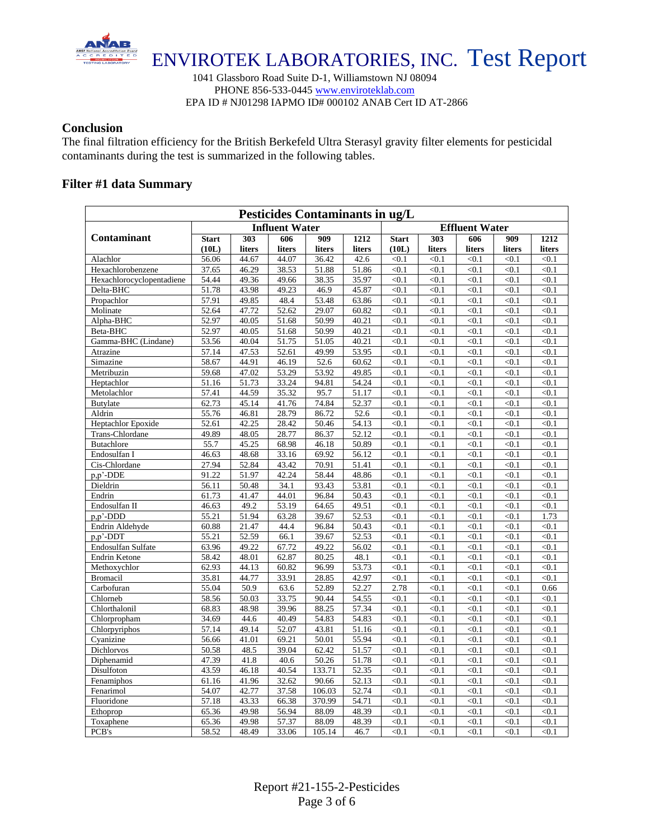

1041 Glassboro Road Suite D-1, Williamstown NJ 08094 PHONE 856-533-0445 [www.enviroteklab.com](http://www.enviroteklab.com/) EPA ID # NJ01298 IAPMO ID# 000102 ANAB Cert ID AT-2866

#### **Conclusion**

The final filtration efficiency for the British Berkefeld Ultra Sterasyl gravity filter elements for pesticidal contaminants during the test is summarized in the following tables.

#### **Filter #1 data Summary**

| Pesticides Contaminants in ug/L |              |                    |                       |        |        |                       |        |        |        |        |  |  |  |
|---------------------------------|--------------|--------------------|-----------------------|--------|--------|-----------------------|--------|--------|--------|--------|--|--|--|
|                                 |              |                    | <b>Influent Water</b> |        |        | <b>Effluent Water</b> |        |        |        |        |  |  |  |
| Contaminant                     | <b>Start</b> | 303                | 606                   | 909    | 1212   | <b>Start</b>          | 303    | 606    | 909    | 1212   |  |  |  |
|                                 | (10L)        | liters             | liters                | liters | liters | (10L)                 | liters | liters | liters | liters |  |  |  |
| Alachlor                        | 56.06        | 44.67              | 44.07                 | 36.42  | 42.6   | < 0.1                 | < 0.1  | < 0.1  | < 0.1  | < 0.1  |  |  |  |
| Hexachlorobenzene               | 37.65        | 46.29              | 38.53                 | 51.88  | 51.86  | < 0.1                 | < 0.1  | < 0.1  | < 0.1  | < 0.1  |  |  |  |
| Hexachlorocyclopentadiene       | 54.44        | 49.36              | 49.66                 | 38.35  | 35.97  | < 0.1                 | < 0.1  | < 0.1  | < 0.1  | < 0.1  |  |  |  |
| Delta-BHC                       | 51.78        | 43.98              | 49.23                 | 46.9   | 45.87  | < 0.1                 | < 0.1  | < 0.1  | < 0.1  | < 0.1  |  |  |  |
| Propachlor                      | 57.91        | 49.85              | 48.4                  | 53.48  | 63.86  | < 0.1                 | < 0.1  | < 0.1  | < 0.1  | < 0.1  |  |  |  |
| Molinate                        | 52.64        | 47.72              | 52.62                 | 29.07  | 60.82  | < 0.1                 | < 0.1  | < 0.1  | < 0.1  | < 0.1  |  |  |  |
| Alpha-BHC                       | 52.97        | $\overline{40.05}$ | 51.68                 | 50.99  | 40.21  | < 0.1                 | < 0.1  | < 0.1  | < 0.1  | < 0.1  |  |  |  |
| Beta-BHC                        | 52.97        | 40.05              | 51.68                 | 50.99  | 40.21  | < 0.1                 | < 0.1  | < 0.1  | < 0.1  | < 0.1  |  |  |  |
| Gamma-BHC (Lindane)             | 53.56        | 40.04              | 51.75                 | 51.05  | 40.21  | < 0.1                 | < 0.1  | < 0.1  | < 0.1  | < 0.1  |  |  |  |
| Atrazine                        | 57.14        | 47.53              | 52.61                 | 49.99  | 53.95  | < 0.1                 | < 0.1  | < 0.1  | < 0.1  | < 0.1  |  |  |  |
| Simazine                        | 58.67        | 44.91              | 46.19                 | 52.6   | 60.62  | < 0.1                 | < 0.1  | < 0.1  | < 0.1  | < 0.1  |  |  |  |
| Metribuzin                      | 59.68        | 47.02              | 53.29                 | 53.92  | 49.85  | < 0.1                 | < 0.1  | < 0.1  | < 0.1  | < 0.1  |  |  |  |
| Heptachlor                      | 51.16        | 51.73              | 33.24                 | 94.81  | 54.24  | < 0.1                 | < 0.1  | < 0.1  | < 0.1  | < 0.1  |  |  |  |
| Metolachlor                     | 57.41        | 44.59              | 35.32                 | 95.7   | 51.17  | < 0.1                 | < 0.1  | < 0.1  | < 0.1  | < 0.1  |  |  |  |
| <b>Butylate</b>                 | 62.73        | 45.14              | 41.76                 | 74.84  | 52.37  | < 0.1                 | < 0.1  | < 0.1  | < 0.1  | < 0.1  |  |  |  |
| Aldrin                          | 55.76        | 46.81              | 28.79                 | 86.72  | 52.6   | < 0.1                 | < 0.1  | < 0.1  | < 0.1  | < 0.1  |  |  |  |
| Heptachlor Epoxide              | 52.61        | 42.25              | 28.42                 | 50.46  | 54.13  | < 0.1                 | < 0.1  | < 0.1  | < 0.1  | < 0.1  |  |  |  |
| Trans-Chlordane                 | 49.89        | 48.05              | 28.77                 | 86.37  | 52.12  | < 0.1                 | < 0.1  | < 0.1  | < 0.1  | < 0.1  |  |  |  |
| <b>Butachlore</b>               | 55.7         | 45.25              | 68.98                 | 46.18  | 50.89  | < 0.1                 | < 0.1  | < 0.1  | < 0.1  | < 0.1  |  |  |  |
| Endosulfan I                    | 46.63        | 48.68              | 33.16                 | 69.92  | 56.12  | < 0.1                 | < 0.1  | < 0.1  | < 0.1  | < 0.1  |  |  |  |
| Cis-Chlordane                   | 27.94        | 52.84              | 43.42                 | 70.91  | 51.41  | < 0.1                 | < 0.1  | < 0.1  | < 0.1  | < 0.1  |  |  |  |
| p,p'-DDE                        | 91.22        | 51.97              | 42.24                 | 58.44  | 48.86  | < 0.1                 | < 0.1  | < 0.1  | < 0.1  | < 0.1  |  |  |  |
| Dieldrin                        | 56.11        | 50.48              | 34.1                  | 93.43  | 53.81  | < 0.1                 | < 0.1  | < 0.1  | < 0.1  | < 0.1  |  |  |  |
| Endrin                          | 61.73        | 41.47              | 44.01                 | 96.84  | 50.43  | < 0.1                 | < 0.1  | < 0.1  | < 0.1  | < 0.1  |  |  |  |
| Endosulfan II                   | 46.63        | 49.2               | 53.19                 | 64.65  | 49.51  | < 0.1                 | < 0.1  | < 0.1  | < 0.1  | < 0.1  |  |  |  |
| p,p'-DDD                        | 55.21        | 51.94              | 63.28                 | 39.67  | 52.53  | < 0.1                 | < 0.1  | < 0.1  | < 0.1  | 1.73   |  |  |  |
| Endrin Aldehyde                 | 60.88        | 21.47              | 44.4                  | 96.84  | 50.43  | < 0.1                 | < 0.1  | < 0.1  | < 0.1  | < 0.1  |  |  |  |
| p,p'-DDT                        | 55.21        | 52.59              | 66.1                  | 39.67  | 52.53  | < 0.1                 | < 0.1  | < 0.1  | < 0.1  | < 0.1  |  |  |  |
| Endosulfan Sulfate              | 63.96        | 49.22              | 67.72                 | 49.22  | 56.02  | < 0.1                 | < 0.1  | < 0.1  | < 0.1  | < 0.1  |  |  |  |
| Endrin Ketone                   | 58.42        | 48.01              | 62.87                 | 80.25  | 48.1   | < 0.1                 | < 0.1  | < 0.1  | < 0.1  | < 0.1  |  |  |  |
| Methoxychlor                    | 62.93        | 44.13              | 60.82                 | 96.99  | 53.73  | < 0.1                 | < 0.1  | < 0.1  | < 0.1  | < 0.1  |  |  |  |
| <b>Bromacil</b>                 | 35.81        | 44.77              | 33.91                 | 28.85  | 42.97  | < 0.1                 | < 0.1  | < 0.1  | < 0.1  | < 0.1  |  |  |  |
| Carbofuran                      | 55.04        | 50.9               | 63.6                  | 52.89  | 52.27  | 2.78                  | < 0.1  | < 0.1  | < 0.1  | 0.66   |  |  |  |
| Chlorneb                        | 58.56        | 50.03              | 33.75                 | 90.44  | 54.55  | < 0.1                 | < 0.1  | < 0.1  | < 0.1  | < 0.1  |  |  |  |
| Chlorthalonil                   | 68.83        | 48.98              | 39.96                 | 88.25  | 57.34  | < 0.1                 | < 0.1  | < 0.1  | < 0.1  | < 0.1  |  |  |  |
| Chlorpropham                    | 34.69        | 44.6               | 40.49                 | 54.83  | 54.83  | < 0.1                 | < 0.1  | < 0.1  | < 0.1  | < 0.1  |  |  |  |
| Chlorpyriphos                   | 57.14        | 49.14              | 52.07                 | 43.81  | 51.16  | < 0.1                 | < 0.1  | < 0.1  | < 0.1  | < 0.1  |  |  |  |
| Cyanizine                       | 56.66        | 41.01              | 69.21                 | 50.01  | 55.94  | < 0.1                 | < 0.1  | < 0.1  | < 0.1  | < 0.1  |  |  |  |
| Dichlorvos                      | 50.58        | 48.5               | 39.04                 | 62.42  | 51.57  | < 0.1                 | < 0.1  | < 0.1  | < 0.1  | < 0.1  |  |  |  |
| Diphenamid                      | 47.39        | 41.8               | 40.6                  | 50.26  | 51.78  | < 0.1                 | < 0.1  | < 0.1  | < 0.1  | < 0.1  |  |  |  |
| Disulfoton                      | 43.59        | $\overline{46.18}$ | 40.54                 | 133.71 | 52.35  | < 0.1                 | < 0.1  | < 0.1  | < 0.1  | < 0.1  |  |  |  |
| Fenamiphos                      | 61.16        | 41.96              | 32.62                 | 90.66  | 52.13  | < 0.1                 | < 0.1  | < 0.1  | < 0.1  | < 0.1  |  |  |  |
| Fenarimol                       | 54.07        | 42.77              | 37.58                 | 106.03 | 52.74  | < 0.1                 | < 0.1  | < 0.1  | < 0.1  | < 0.1  |  |  |  |
| Fluoridone                      | 57.18        | 43.33              | 66.38                 | 370.99 | 54.71  | < 0.1                 | < 0.1  | < 0.1  | < 0.1  | < 0.1  |  |  |  |
| Ethoprop                        | 65.36        | 49.98              | 56.94                 | 88.09  | 48.39  | < 0.1                 | < 0.1  | < 0.1  | < 0.1  | < 0.1  |  |  |  |
| Toxaphene                       | 65.36        | 49.98              | 57.37                 | 88.09  | 48.39  | < 0.1                 | < 0.1  | < 0.1  | < 0.1  | < 0.1  |  |  |  |
| PCB's                           | 58.52        | 48.49              | 33.06                 | 105.14 | 46.7   | < 0.1                 | < 0.1  | < 0.1  | < 0.1  | < 0.1  |  |  |  |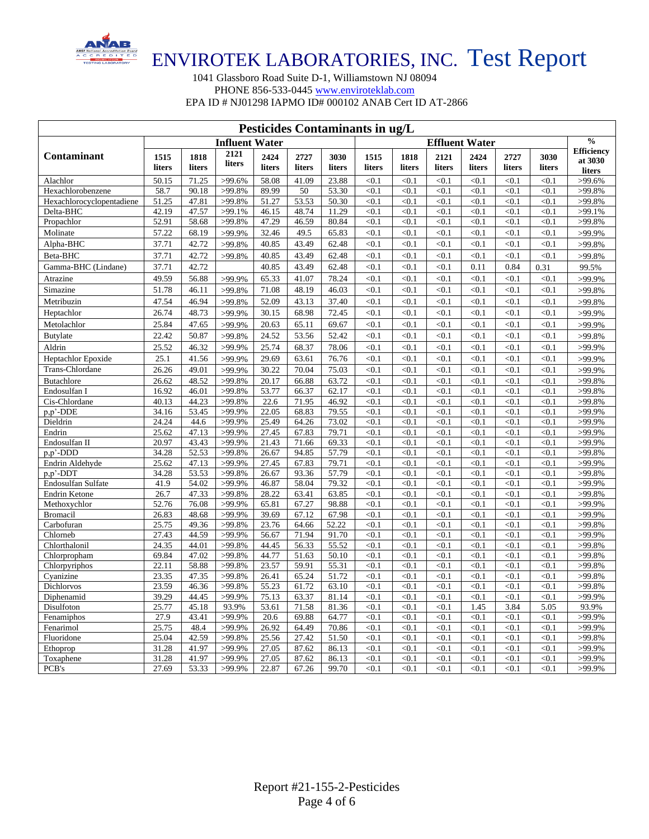

1041 Glassboro Road Suite D-1, Williamstown NJ 08094 PHONE 856-533-0445 [www.enviroteklab.com](http://www.enviroteklab.com/) EPA ID # NJ01298 IAPMO ID# 000102 ANAB Cert ID AT-2866

| Pesticides Contaminants in ug/L |                       |                |                     |                    |                |                |                |                       |                |                |                |                |                                        |
|---------------------------------|-----------------------|----------------|---------------------|--------------------|----------------|----------------|----------------|-----------------------|----------------|----------------|----------------|----------------|----------------------------------------|
|                                 | <b>Influent Water</b> |                |                     |                    |                |                |                | <b>Effluent Water</b> |                |                |                |                |                                        |
| Contaminant                     | 1515<br>liters        | 1818<br>liters | 2121<br>liters      | 2424<br>liters     | 2727<br>liters | 3030<br>liters | 1515<br>liters | 1818<br>liters        | 2121<br>liters | 2424<br>liters | 2727<br>liters | 3030<br>liters | <b>Efficiency</b><br>at 3030<br>liters |
| Alachlor                        | 50.15                 | 71.25          | $>99.6\%$           | 58.08              | 41.09          | 23.88          | < 0.1          | < 0.1                 | < 0.1          | < 0.1          | < 0.1          | < 0.1          | $>99.6\%$                              |
| Hexachlorobenzene               | 58.7                  | 90.18          | $>99.8\%$           | 89.99              | 50             | 53.30          | < 0.1          | < 0.1                 | < 0.1          | < 0.1          | < 0.1          | < 0.1          | >99.8%                                 |
| Hexachlorocyclopentadiene       | 51.25                 | 47.81          | $>99.8\%$           | 51.27              | 53.53          | 50.30          | < 0.1          | < 0.1                 | < 0.1          | < 0.1          | < 0.1          | < 0.1          | $>99.8\%$                              |
| Delta-BHC                       | 42.19                 | 47.57          | $>99.1\%$           | 46.15              | 48.74          | 11.29          | < 0.1          | < 0.1                 | < 0.1          | < 0.1          | < 0.1          | < 0.1          | $>99.1\%$                              |
| Propachlor                      | 52.91                 | 58.68          | $>99.8\%$           | 47.29              | 46.59          | 80.84          | < 0.1          | < 0.1                 | < 0.1          | < 0.1          | < 0.1          | < 0.1          | $>99.8\%$                              |
| Molinate                        | 57.22                 | 68.19          | >99.9%              | 32.46              | 49.5           | 65.83          | < 0.1          | < 0.1                 | < 0.1          | < 0.1          | < 0.1          | < 0.1          | >99.9%                                 |
| Alpha-BHC                       | 37.71                 | 42.72          | $>99.8\%$           | 40.85              | 43.49          | 62.48          | < 0.1          | < 0.1                 | < 0.1          | < 0.1          | < 0.1          | < 0.1          | $>99.8\%$                              |
| Beta-BHC                        | 37.71                 | 42.72          | $>99.8\%$           | 40.85              | 43.49          | 62.48          | < 0.1          | < 0.1                 | < 0.1          | < 0.1          | < 0.1          | < 0.1          | $>99.8\%$                              |
| Gamma-BHC (Lindane)             | 37.71                 | 42.72          |                     | 40.85              | 43.49          | 62.48          | < 0.1          | < 0.1                 | < 0.1          | 0.11           | 0.84           | 0.31           | 99.5%                                  |
| Atrazine                        | 49.59                 | 56.88          | >99.9%              | 65.33              | 41.07          | 78.24          | < 0.1          | < 0.1                 | < 0.1          | < 0.1          | < 0.1          | < 0.1          | >99.9%                                 |
| Simazine                        | 51.78                 | 46.11          | $>99.8\%$           | 71.08              | 48.19          | 46.03          | < 0.1          | < 0.1                 | < 0.1          | < 0.1          | < 0.1          | < 0.1          | >99.8%                                 |
| Metribuzin                      | 47.54                 | 46.94          | $>99.8\%$           | 52.09              | 43.13          | 37.40          | < 0.1          | < 0.1                 | < 0.1          | < 0.1          | < 0.1          | < 0.1          | $>99.8\%$                              |
| Heptachlor                      | 26.74                 | 48.73          | >99.9%              | 30.15              | 68.98          | 72.45          | < 0.1          | < 0.1                 | < 0.1          | < 0.1          | < 0.1          | < 0.1          | >99.9%                                 |
| Metolachlor                     | 25.84                 | 47.65          | >99.9%              | 20.63              | 65.11          | 69.67          | < 0.1          | < 0.1                 | < 0.1          | < 0.1          | < 0.1          | < 0.1          | >99.9%                                 |
| <b>Butylate</b>                 | 22.42                 | 50.87          | $>99.8\%$           | 24.52              | 53.56          | 52.42          | < 0.1          | < 0.1                 | < 0.1          | < 0.1          | < 0.1          | < 0.1          | $>99.8\%$                              |
| Aldrin                          | 25.52                 | 46.32          | >99.9%              | 25.74              | 68.37          | 78.06          | < 0.1          | < 0.1                 | < 0.1          | < 0.1          | < 0.1          | < 0.1          | >99.9%                                 |
| <b>Heptachlor Epoxide</b>       | 25.1                  | 41.56          | >99.9%              | 29.69              | 63.61          | 76.76          | < 0.1          | < 0.1                 | < 0.1          | < 0.1          | < 0.1          | < 0.1          | >99.9%                                 |
| Trans-Chlordane                 | 26.26                 | 49.01          | >99.9%              | 30.22              | 70.04          | 75.03          | < 0.1          | < 0.1                 | < 0.1          | < 0.1          | < 0.1          | < 0.1          | >99.9%                                 |
| <b>Butachlore</b>               | 26.62                 | 48.52          | $>99.8\%$           | 20.17              | 66.88          | 63.72          | < 0.1          | < 0.1                 | < 0.1          | < 0.1          | < 0.1          | < 0.1          | >99.8%                                 |
| Endosulfan I                    | 16.92                 | 46.01          | >99.8%              | 53.77              | 66.37          | 62.17          | < 0.1          | < 0.1                 | < 0.1          | < 0.1          | < 0.1          | < 0.1          | $\overline{>}99.8\%$                   |
| Cis-Chlordane                   | 40.13                 | 44.23          | $>99.8\%$           | 22.6               | 71.95          | 46.92          | < 0.1          | < 0.1                 | < 0.1          | < 0.1          | < 0.1          | < 0.1          | $>99.8\%$                              |
| p,p'-DDE                        | 34.16                 | 53.45          | >99.9%              | 22.05              | 68.83          | 79.55          | < 0.1          | < 0.1                 | < 0.1          | < 0.1          | < 0.1          | < 0.1          | >99.9%                                 |
| Dieldrin                        | 24.24                 | 44.6           | >99.9%              | 25.49              | 64.26          | 73.02          | < 0.1          | < 0.1                 | < 0.1          | < 0.1          | < 0.1          | < 0.1          | >99.9%                                 |
| Endrin                          | 25.62                 | 47.13          | >99.9%              | 27.45              | 67.83          | 79.71          | < 0.1          | < 0.1                 | < 0.1          | < 0.1          | < 0.1          | < 0.1          | >99.9%                                 |
| Endosulfan II                   | 20.97                 | 43.43          | >99.9%              | 21.43              | 71.66          | 69.33          | < 0.1          | < 0.1                 | < 0.1          | < 0.1          | < 0.1          | < 0.1          | >99.9%                                 |
| $p, p'$ -DDD                    | 34.28                 | 52.53          | $>99.8\%$           | 26.67              | 94.85          | 57.79          | < 0.1          | < 0.1                 | < 0.1          | < 0.1          | < 0.1          | < 0.1          | $>99.8\%$                              |
| Endrin Aldehyde                 | 25.62                 | 47.13          | >99.9%              | $\overline{27.45}$ | 67.83          | 79.71          | < 0.1          | < 0.1                 | < 0.1          | < 0.1          | < 0.1          | < 0.1          | >99.9%                                 |
| p,p'-DDT                        | 34.28                 | 53.53          | >99.8%              | 26.67              | 93.36          | 57.79          | < 0.1          | < 0.1                 | < 0.1          | < 0.1          | < 0.1          | < 0.1          | $>99.8\%$                              |
| Endosulfan Sulfate              | 41.9                  | 54.02          | >99.9%              | 46.87              | 58.04          | 79.32          | < 0.1          | < 0.1                 | < 0.1          | < 0.1          | < 0.1          | < 0.1          | >99.9%                                 |
| Endrin Ketone                   | 26.7                  | 47.33          | $>99.8\%$           | 28.22              | 63.41          | 63.85          | < 0.1          | < 0.1                 | < 0.1          | < 0.1          | < 0.1          | < 0.1          | $>99.8\%$                              |
| Methoxychlor                    | 52.76                 | 76.08          | >99.9%              | 65.81              | 67.27          | 98.88          | < 0.1          | < 0.1                 | < 0.1          | < 0.1          | < 0.1          | < 0.1          | >99.9%                                 |
| <b>Bromacil</b>                 | 26.83                 | 48.68          | >99.9%              | 39.69              | 67.12          | 67.98          | < 0.1          | < 0.1                 | < 0.1          | < 0.1          | < 0.1          | < 0.1          | >99.9%                                 |
| Carbofuran                      | 25.75                 | 49.36          | $>99.8\%$           | 23.76              | 64.66          | 52.22          | < 0.1          | < 0.1                 | < 0.1          | < 0.1          | < 0.1          | < 0.1          | >99.8%                                 |
| Chlorneb                        | 27.43                 | 44.59          | >99.9%              | 56.67              | 71.94          | 91.70          | < 0.1          | < 0.1                 | < 0.1          | < 0.1          | < 0.1          | < 0.1          | >99.9%                                 |
| Chlorthalonil                   | 24.35<br>69.84        | 44.01<br>47.02 | >99.8%<br>$>99.8\%$ | 44.45<br>44.77     | 56.33<br>51.63 | 55.52<br>50.10 | < 0.1<br>< 0.1 | < 0.1<br>< 0.1        | < 0.1<br>< 0.1 | < 0.1<br>< 0.1 | < 0.1<br>< 0.1 | < 0.1<br>< 0.1 | >99.8%<br>>99.8%                       |
| Chlorpropham<br>Chlorpyriphos   | 22.11                 | 58.88          | $>99.8\%$           | 23.57              | 59.91          | 55.31          | < 0.1          | < 0.1                 | < 0.1          | < 0.1          | < 0.1          | < 0.1          | $>99.8\%$                              |
| Cyanizine                       | 23.35                 | 47.35          | >99.8%              | 26.41              | 65.24          | 51.72          | < 0.1          | < 0.1                 | < 0.1          | < 0.1          | < 0.1          | < 0.1          | >99.8%                                 |
| Dichlorvos                      | 23.59                 | 46.36          | $>99.8\%$           | 55.23              | 61.72          | 63.10          | < 0.1          | < 0.1                 | < 0.1          | < 0.1          | < 0.1          | < 0.1          | $>99.8\%$                              |
| Diphenamid                      | 39.29                 | 44.45          | >99.9%              | 75.13              | 63.37          | 81.14          | < 0.1          | < 0.1                 | < 0.1          | < 0.1          | < 0.1          | < 0.1          | >99.9%                                 |
| Disulfoton                      | 25.77                 | 45.18          | 93.9%               | 53.61              | 71.58          | 81.36          | < 0.1          | < 0.1                 | < 0.1          | 1.45           | 3.84           | 5.05           | 93.9%                                  |
| Fenamiphos                      | 27.9                  | 43.41          | >99.9%              | 20.6               | 69.88          | 64.77          | < 0.1          | < 0.1                 | < 0.1          | < 0.1          | < 0.1          | < 0.1          | >99.9%                                 |
| Fenarimol                       | 25.75                 | 48.4           | >99.9%              | 26.92              | 64.49          | 70.86          | < 0.1          | < 0.1                 | < 0.1          | < 0.1          | < 0.1          | < 0.1          | $\overline{>}99.9\%$                   |
| Fluoridone                      | 25.04                 | 42.59          | $>99.8\%$           | 25.56              | 27.42          | 51.50          | < 0.1          | < 0.1                 | < 0.1          | < 0.1          | < 0.1          | < 0.1          | $>99.8\%$                              |
| Ethoprop                        | 31.28                 | 41.97          | >99.9%              | 27.05              | 87.62          | 86.13          | < 0.1          | < 0.1                 | < 0.1          | < 0.1          | < 0.1          | <0.1           | >99.9%                                 |
| Toxaphene                       | 31.28                 | 41.97          | >99.9%              | 27.05              | 87.62          | 86.13          | < 0.1          | < 0.1                 | < 0.1          | < 0.1          | < 0.1          | < 0.1          | >99.9%                                 |
| PCB's                           | 27.69                 | 53.33          | >99.9%              | 22.87              | 67.26          | 99.70          | < 0.1          | < 0.1                 | < 0.1          | < 0.1          | < 0.1          | < 0.1          | >99.9%                                 |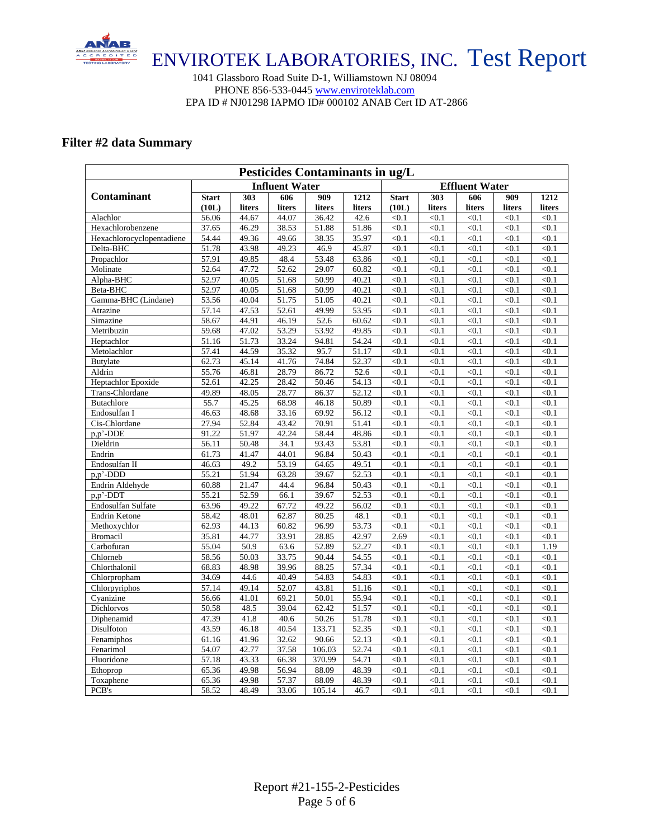

1041 Glassboro Road Suite D-1, Williamstown NJ 08094 PHONE 856-533-0445 [www.enviroteklab.com](http://www.enviroteklab.com/) EPA ID # NJ01298 IAPMO ID# 000102 ANAB Cert ID AT-2866

### **Filter #2 data Summary**

| Pesticides Contaminants in ug/L |                   |        |                       |                  |                       |              |        |        |        |        |  |  |
|---------------------------------|-------------------|--------|-----------------------|------------------|-----------------------|--------------|--------|--------|--------|--------|--|--|
|                                 |                   |        | <b>Influent Water</b> |                  | <b>Effluent Water</b> |              |        |        |        |        |  |  |
| <b>Contaminant</b>              | <b>Start</b>      | 303    | 606                   | $\overline{909}$ | 1212                  | <b>Start</b> | 303    | 606    | 909    | 1212   |  |  |
|                                 | (10L)             | liters | liters                | liters           | liters                | (10L)        | liters | liters | liters | liters |  |  |
| Alachlor                        | 56.06             | 44.67  | 44.07                 | 36.42            | 42.6                  | < 0.1        | < 0.1  | < 0.1  | < 0.1  | < 0.1  |  |  |
| Hexachlorobenzene               | 37.65             | 46.29  | 38.53                 | 51.88            | 51.86                 | < 0.1        | < 0.1  | < 0.1  | < 0.1  | < 0.1  |  |  |
| Hexachlorocyclopentadiene       | 54.44             | 49.36  | 49.66                 | 38.35            | 35.97                 | < 0.1        | < 0.1  | < 0.1  | < 0.1  | < 0.1  |  |  |
| Delta-BHC                       | 51.78             | 43.98  | 49.23                 | 46.9             | 45.87                 | < 0.1        | < 0.1  | < 0.1  | < 0.1  | < 0.1  |  |  |
| Propachlor                      | 57.91             | 49.85  | 48.4                  | 53.48            | 63.86                 | < 0.1        | < 0.1  | < 0.1  | < 0.1  | < 0.1  |  |  |
| Molinate                        | 52.64             | 47.72  | 52.62                 | 29.07            | 60.82                 | < 0.1        | < 0.1  | < 0.1  | < 0.1  | < 0.1  |  |  |
| Alpha-BHC                       | 52.97             | 40.05  | 51.68                 | 50.99            | 40.21                 | < 0.1        | < 0.1  | < 0.1  | < 0.1  | < 0.1  |  |  |
| Beta-BHC                        | 52.97             | 40.05  | 51.68                 | 50.99            | 40.21                 | < 0.1        | < 0.1  | < 0.1  | < 0.1  | < 0.1  |  |  |
| Gamma-BHC (Lindane)             | 53.56             | 40.04  | 51.75                 | 51.05            | 40.21                 | < 0.1        | < 0.1  | < 0.1  | < 0.1  | < 0.1  |  |  |
| Atrazine                        | 57.14             | 47.53  | 52.61                 | 49.99            | 53.95                 | < 0.1        | < 0.1  | < 0.1  | < 0.1  | < 0.1  |  |  |
| Simazine                        | 58.67             | 44.91  | 46.19                 | 52.6             | 60.62                 | < 0.1        | < 0.1  | < 0.1  | < 0.1  | < 0.1  |  |  |
| Metribuzin                      | 59.68             | 47.02  | 53.29                 | 53.92            | 49.85                 | < 0.1        | < 0.1  | < 0.1  | < 0.1  | < 0.1  |  |  |
| Heptachlor                      | 51.16             | 51.73  | 33.24                 | 94.81            | 54.24                 | < 0.1        | < 0.1  | < 0.1  | < 0.1  | < 0.1  |  |  |
| Metolachlor                     | 57.41             | 44.59  | 35.32                 | 95.7             | 51.17                 | < 0.1        | < 0.1  | < 0.1  | < 0.1  | < 0.1  |  |  |
| <b>Butylate</b>                 | 62.73             | 45.14  | 41.76                 | 74.84            | 52.37                 | < 0.1        | < 0.1  | < 0.1  | < 0.1  | < 0.1  |  |  |
| Aldrin                          | 55.76             | 46.81  | 28.79                 | 86.72            | 52.6                  | < 0.1        | < 0.1  | < 0.1  | < 0.1  | < 0.1  |  |  |
| Heptachlor Epoxide              | 52.61             | 42.25  | 28.42                 | 50.46            | 54.13                 | < 0.1        | < 0.1  | < 0.1  | < 0.1  | < 0.1  |  |  |
| Trans-Chlordane                 | 49.89             | 48.05  | 28.77                 | 86.37            | 52.12                 | < 0.1        | < 0.1  | < 0.1  | < 0.1  | < 0.1  |  |  |
| <b>Butachlore</b>               | 55.7              | 45.25  | 68.98                 | 46.18            | 50.89                 | < 0.1        | < 0.1  | < 0.1  | < 0.1  | < 0.1  |  |  |
| Endosulfan I                    | 46.63             | 48.68  | 33.16                 | 69.92            | 56.12                 | < 0.1        | < 0.1  | < 0.1  | < 0.1  | < 0.1  |  |  |
| Cis-Chlordane                   | 27.94             | 52.84  | 43.42                 | 70.91            | 51.41                 | < 0.1        | < 0.1  | < 0.1  | < 0.1  | < 0.1  |  |  |
| p,p'-DDE                        | 91.22             | 51.97  | 42.24                 | 58.44            | 48.86                 | < 0.1        | < 0.1  | < 0.1  | < 0.1  | < 0.1  |  |  |
| Dieldrin                        | $\frac{1}{56.11}$ | 50.48  | 34.1                  | 93.43            | 53.81                 | < 0.1        | < 0.1  | < 0.1  | < 0.1  | < 0.1  |  |  |
| Endrin                          | 61.73             | 41.47  | 44.01                 | 96.84            | 50.43                 | < 0.1        | < 0.1  | < 0.1  | < 0.1  | < 0.1  |  |  |
| Endosulfan II                   | 46.63             | 49.2   | 53.19                 | 64.65            | 49.51                 | < 0.1        | < 0.1  | < 0.1  | < 0.1  | < 0.1  |  |  |
| p,p'-DDD                        | 55.21             | 51.94  | 63.28                 | 39.67            | 52.53                 | < 0.1        | < 0.1  | < 0.1  | < 0.1  | < 0.1  |  |  |
| Endrin Aldehyde                 | 60.88             | 21.47  | 44.4                  | 96.84            | 50.43                 | < 0.1        | < 0.1  | < 0.1  | < 0.1  | < 0.1  |  |  |
| p,p'-DDT                        | 55.21             | 52.59  | 66.1                  | 39.67            | 52.53                 | < 0.1        | < 0.1  | < 0.1  | < 0.1  | < 0.1  |  |  |
| Endosulfan Sulfate              | 63.96             | 49.22  | 67.72                 | 49.22            | 56.02                 | < 0.1        | < 0.1  | < 0.1  | < 0.1  | < 0.1  |  |  |
| Endrin Ketone                   | 58.42             | 48.01  | 62.87                 | 80.25            | 48.1                  | < 0.1        | < 0.1  | < 0.1  | < 0.1  | < 0.1  |  |  |
| Methoxychlor                    | 62.93             | 44.13  | 60.82                 | 96.99            | 53.73                 | < 0.1        | < 0.1  | < 0.1  | < 0.1  | < 0.1  |  |  |
| <b>Bromacil</b>                 | 35.81             | 44.77  | 33.91                 | 28.85            | 42.97                 | 2.69         | < 0.1  | < 0.1  | < 0.1  | < 0.1  |  |  |
| Carbofuran                      | 55.04             | 50.9   | 63.6                  | 52.89            | 52.27                 | < 0.1        | < 0.1  | < 0.1  | < 0.1  | 1.19   |  |  |
| Chlorneb                        | 58.56             | 50.03  | 33.75                 | 90.44            | 54.55                 | < 0.1        | < 0.1  | < 0.1  | < 0.1  | < 0.1  |  |  |
| Chlorthalonil                   | 68.83             | 48.98  | 39.96                 | 88.25            | 57.34                 | < 0.1        | < 0.1  | < 0.1  | < 0.1  | < 0.1  |  |  |
| Chlorpropham                    | 34.69             | 44.6   | 40.49                 | 54.83            | 54.83                 | < 0.1        | < 0.1  | < 0.1  | < 0.1  | < 0.1  |  |  |
| Chlorpyriphos                   | 57.14             | 49.14  | 52.07                 | 43.81            | 51.16                 | < 0.1        | < 0.1  | < 0.1  | < 0.1  | < 0.1  |  |  |
| Cyanizine                       | 56.66             | 41.01  | 69.21                 | 50.01            | 55.94                 | < 0.1        | < 0.1  | < 0.1  | < 0.1  | < 0.1  |  |  |
| Dichlorvos                      | 50.58             | 48.5   | 39.04                 | 62.42            | 51.57                 | < 0.1        | < 0.1  | < 0.1  | < 0.1  | < 0.1  |  |  |
| Diphenamid                      | 47.39             | 41.8   | 40.6                  | 50.26            | 51.78                 | < 0.1        | < 0.1  | < 0.1  | < 0.1  | < 0.1  |  |  |
| Disulfoton                      | 43.59             | 46.18  | 40.54                 | 133.71           | 52.35                 | < 0.1        | < 0.1  | < 0.1  | < 0.1  | < 0.1  |  |  |
| Fenamiphos                      | 61.16             | 41.96  | 32.62                 | 90.66            | 52.13                 | < 0.1        | < 0.1  | < 0.1  | < 0.1  | < 0.1  |  |  |
| Fenarimol                       | 54.07             | 42.77  | 37.58                 | 106.03           | 52.74                 | < 0.1        | < 0.1  | < 0.1  | < 0.1  | < 0.1  |  |  |
| Fluoridone                      | 57.18             | 43.33  | 66.38                 | 370.99           | 54.71                 | < 0.1        | < 0.1  | < 0.1  | < 0.1  | < 0.1  |  |  |
| Ethoprop                        | 65.36             | 49.98  | 56.94                 | 88.09            | 48.39                 | < 0.1        | < 0.1  | < 0.1  | < 0.1  | < 0.1  |  |  |
| Toxaphene                       | 65.36             | 49.98  | 57.37                 | 88.09            | 48.39                 | < 0.1        | < 0.1  | < 0.1  | < 0.1  | < 0.1  |  |  |
| $\rm{PCB's}$                    | 58.52             | 48.49  | 33.06                 | 105.14           | 46.7                  | < 0.1        | < 0.1  | < 0.1  | < 0.1  | < 0.1  |  |  |